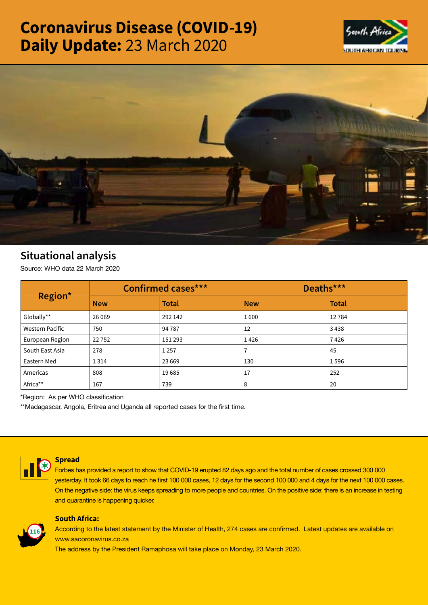# Coronavirus Disease (COVID-19) Daily Update: 23 March 2020





# Situational analysis

Source: WHO data 22 March 2020

| Region*                | <b>Confirmed cases***</b> |              | Deaths***  |              |
|------------------------|---------------------------|--------------|------------|--------------|
|                        | <b>New</b>                | <b>Total</b> | <b>New</b> | <b>Total</b> |
| Globally**             | 26 0 69                   | 292 142      | 1600       | 12784        |
| <b>Western Pacific</b> | 750                       | 94 78 7      | 12         | 3438         |
| European Region        | 22752                     | 151 293      | 1426       | 7426         |
| South East Asia        | 278                       | 1 2 5 7      |            | 45           |
| Eastern Med            | 1 3 1 4                   | 23 6 69      | 130        | 1596         |
| Americas               | 808                       | 19685        | 17         | 252          |
| Africa**               | 167                       | 739          | 8          | 20           |

\*Region: As per WHO classification

\*\*Madagascar, Angola, Eritrea and Uganda all reported cases for the first time.



## Spread

Forbes has provided a report to show that COVID-19 erupted 82 days ago and the total number of cases crossed 300 000 yesterday. It took 66 days to reach he first 100 000 cases, 12 days for the second 100 000 and 4 days for the next 100 000 cases. On the negative side: the virus keeps spreading to more people and countries. On the positive side: there is an increase in testing and quarantine is happening quicker.



# South Africa:

According to the latest statement by the Minister of Health, 274 cases are confirmed. Latest updates are available on www.sacoronavirus.co.za

The address by the President Ramaphosa will take place on Monday, 23 March 2020.